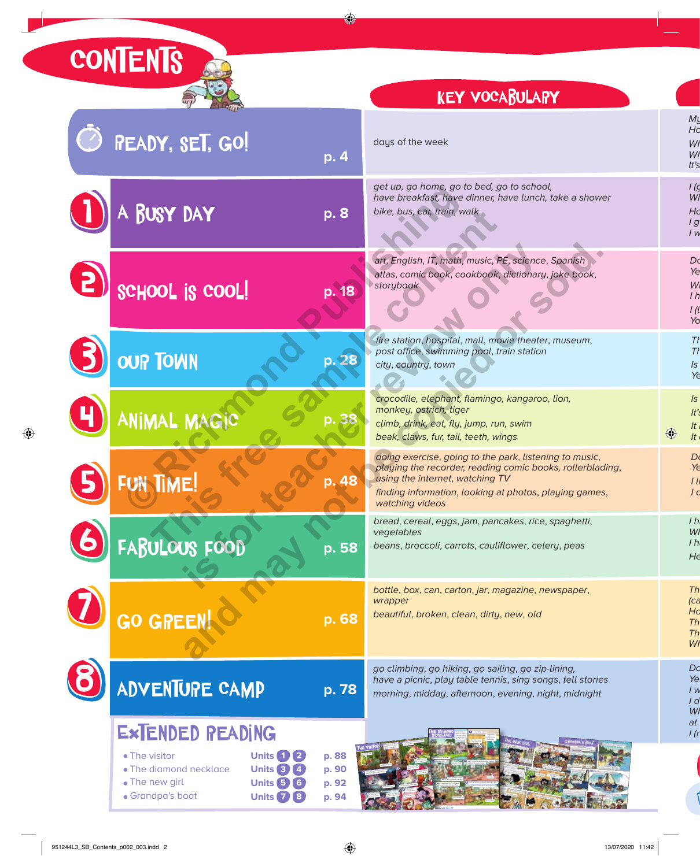## **CONTENTS**

## key vocabulary

Frank, come back! Oh no, Frank! 1 **Listen and read.** 2.46

| PEADY, SET, GO!<br>p. 4                                                                                                                                                                                                          | days of the week                                                                                                                                                                                                                    |
|----------------------------------------------------------------------------------------------------------------------------------------------------------------------------------------------------------------------------------|-------------------------------------------------------------------------------------------------------------------------------------------------------------------------------------------------------------------------------------|
| A BUSY DAY<br>p. 8                                                                                                                                                                                                               | get up, go home, go to bed, go to school,<br>have breakfast, have dinner, have lunch, take a shower<br>bike, bus, car, train, walk                                                                                                  |
| SCHOOL IS COOL!<br>p. 18                                                                                                                                                                                                         | art, English, IT, math, music, PE, science, Spanish<br>atlas, comic book, cookbook, dictionary, joke book,<br>storybook                                                                                                             |
| <b>OUP TOWN</b><br>p. 28                                                                                                                                                                                                         | fire station, hospital, mall, movie theater, museum,<br>post office, swimming pool, train station<br>city, country, town                                                                                                            |
| ANIMAL MAGIC                                                                                                                                                                                                                     | crocodile, elephant, flamingo, kangaroo, lion,<br>monkey, ostrich, tiger<br>climb, drink, eat, fly, jump, run, swim<br>beak, claws, fur, tail, teeth, wings                                                                         |
| FUN TIME!<br>p. 48                                                                                                                                                                                                               | doing exercise, going to the park, listening to music,<br>playing the recorder, reading comic books, rollerblading,<br>using the internet, watching TV<br>finding information, looking at photos, playing games,<br>watching videos |
| FABULOUS FOOD<br>p. 5 <u>8</u>                                                                                                                                                                                                   | bread, cereal, eggs, jam, pancakes, rice, spaghetti,<br>vegetables<br>beans, broccoli, carrots, cauliflower, celery, peas                                                                                                           |
| <b>GO GREEN</b><br>p. 68                                                                                                                                                                                                         | bottle, box, can, carton, jar, magazine, newspaper,<br>wrapper<br>beautiful, broken, clean, dirty, new, old                                                                                                                         |
| <b>ADVENTURE CAMP</b><br>p. 78                                                                                                                                                                                                   | go climbing, go hiking, go sailing, go zip-lining,<br>have a picnic, play table tennis, sing songs, tell stories<br>morning, midday, afternoon, evening, night, midnight                                                            |
| EXTENDED READING<br>• The visitor<br><b>Units 1 2</b><br>p. 88<br>• The diamond necklace<br><b>Units 3 (4)</b><br>p. 90<br>• The new girl<br><b>Units 5 6</b><br>p. 92<br>• Grandpa's boat<br><b>Units</b> <sub>7</sub><br>p. 94 |                                                                                                                                                                                                                                     |